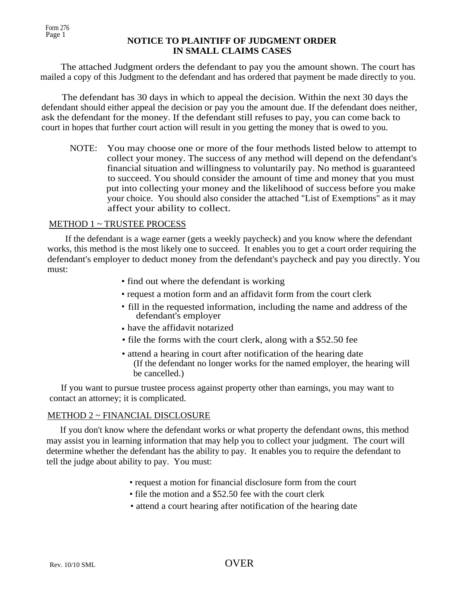## **NOTICE TO PLAINTIFF OF JUDGMENT ORDER** . **IN SMALL CLAIMS CASES**

The attached Judgment orders the defendant to pay you the amount shown. The court has mailed a copy of this Judgment to the defendant and has ordered that payment be made directly to you.

The defendant has 30 days in which to appeal the decision. Within the next 30 days the defendant should either appeal the decision or pay you the amount due. If the defendant does neither, ask the defendant for the money. If the defendant still refuses to pay, you can come back to court in hopes that further court action will result in you getting the money that is owed to you.

NOTE: You may choose one or more of the four methods listed below to attempt to collect your money. The success of any method will depend on the defendant's financial situation and willingness to voluntarily pay. No method is guaranteed to succeed. You should consider the amount of time and money that you must put into collecting your money and the likelihood of success before you make your choice. You should also consider the attached "List of Exemptions" as it may affect your ability to collect.

# METHOD 1 ~ TRUSTEE PROCESS

If the defendant is a wage earner (gets a weekly paycheck) and you know where the defendant works, this method is the most likely one to succeed. It enables you to get a court order requiring the defendant's employer to deduct money from the defendant's paycheck and pay you directly. You must:

- find out where the defendant is working
- request a motion form and an affidavit form from the court clerk
- fill in the requested information, including the name and address of the defendant's employer
- have the affidavit notarized •
- file the forms with the court clerk, along with a \$52.50 fee
- attend a hearing in court after notification of the hearing date (If the defendant no longer works for the named employer, the hearing will be cancelled.)

 If you want to pursue trustee process against property other than earnings, you may want to contact an attorney; it is complicated.

#### METHOD 2 ~ FINANCIAL DISCLOSURE

 If you don't know where the defendant works or what property the defendant owns, this method may assist you in learning information that may help you to collect your judgment. The court will determine whether the defendant has the ability to pay. It enables you to require the defendant to tell the judge about ability to pay. You must:

- request a motion for financial disclosure form from the court
- file the motion and a \$52.50 fee with the court clerk
- attend a court hearing after notification of the hearing date